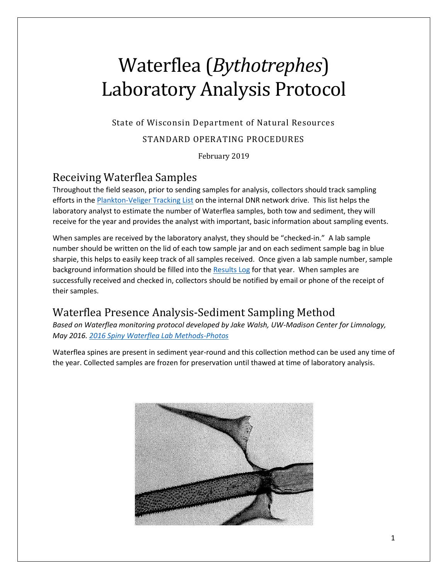# Waterflea (*Bythotrephes*) Laboratory Analysis Protocol

State of Wisconsin Department of Natural Resources

### STANDARD OPERATING PROCEDURES

February 2019

### Receiving Waterflea Samples

Throughout the field season, prior to sending samples for analysis, collectors should track sampling efforts in the **Plankton-Veliger Tracking List on the internal DNR network drive.** This list helps the laboratory analyst to estimate the number of Waterflea samples, both tow and sediment, they will receive for the year and provides the analyst with important, basic information about sampling events.

When samples are received by the laboratory analyst, they should be "checked-in." A lab sample number should be written on the lid of each tow sample jar and on each sediment sample bag in blue sharpie, this helps to easily keep track of all samples received. Once given a lab sample number, sample background information should be filled into th[e Results Log](file:///C:/Users/lalibg/AppData/Local/Microsoft/Windows/INetCache/Content.Outlook/GPD57NCJ/Data%20Templates-Hyperlinked%20Materials/YEAR_ZM-SWF_ResultsLog_TEMPLATE.xlsx) for that year. When samples are successfully received and checked in, collectors should be notified by email or phone of the receipt of their samples.

# Waterflea Presence Analysis-Sediment Sampling Method

*Based on Waterflea monitoring protocol developed by Jake Walsh, UW-Madison Center for Limnology, May 2016. [2016 Spiny Waterflea Lab Methods-Photos](file:///C:/Users/lalibg/AppData/Local/Microsoft/Windows/INetCache/Content.Outlook/GPD57NCJ/Data%20Templates-Hyperlinked%20Materials/2016%20Spiny%20Waterflea%20Lab%20Methods%20-%20Illustrated%20-%20Edit.pdf)*

Waterflea spines are present in sediment year-round and this collection method can be used any time of the year. Collected samples are frozen for preservation until thawed at time of laboratory analysis.

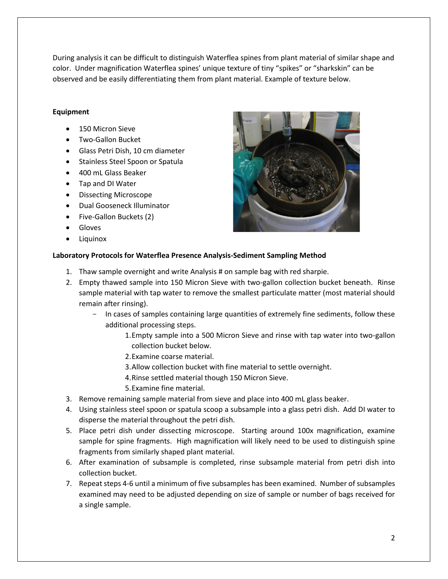During analysis it can be difficult to distinguish Waterflea spines from plant material of similar shape and color. Under magnification Waterflea spines' unique texture of tiny "spikes" or "sharkskin" can be observed and be easily differentiating them from plant material. Example of texture below.

### **Equipment**

- 150 Micron Sieve
- Two-Gallon Bucket
- Glass Petri Dish, 10 cm diameter
- Stainless Steel Spoon or Spatula
- 400 mL Glass Beaker
- Tap and DI Water
- Dissecting Microscope
- Dual Gooseneck Illuminator
- Five-Gallon Buckets (2)
- Gloves
- Liquinox



### **Laboratory Protocols for Waterflea Presence Analysis-Sediment Sampling Method**

- 1. Thaw sample overnight and write Analysis # on sample bag with red sharpie.
- 2. Empty thawed sample into 150 Micron Sieve with two-gallon collection bucket beneath. Rinse sample material with tap water to remove the smallest particulate matter (most material should remain after rinsing).
	- In cases of samples containing large quantities of extremely fine sediments, follow these additional processing steps.
		- 1.Empty sample into a 500 Micron Sieve and rinse with tap water into two-gallon collection bucket below.
		- 2.Examine coarse material.
		- 3.Allow collection bucket with fine material to settle overnight.
		- 4.Rinse settled material though 150 Micron Sieve.
		- 5.Examine fine material.
- 3. Remove remaining sample material from sieve and place into 400 mL glass beaker.
- 4. Using stainless steel spoon or spatula scoop a subsample into a glass petri dish. Add DI water to disperse the material throughout the petri dish.
- 5. Place petri dish under dissecting microscope. Starting around 100x magnification, examine sample for spine fragments. High magnification will likely need to be used to distinguish spine fragments from similarly shaped plant material.
- 6. After examination of subsample is completed, rinse subsample material from petri dish into collection bucket.
- 7. Repeat steps 4-6 until a minimum of five subsamples has been examined. Number of subsamples examined may need to be adjusted depending on size of sample or number of bags received for a single sample.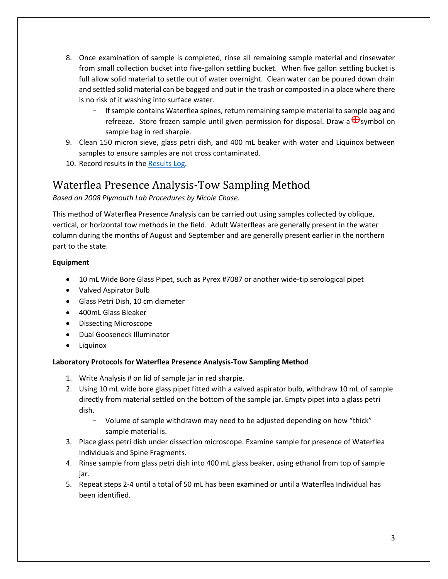- 8. Once examination of sample is completed, rinse all remaining sample material and rinsewater from small collection bucket into five-gallon settling bucket. When five gallon settling bucket is full allow solid material to settle out of water overnight. Clean water can be poured down drain and settled solid material can be bagged and put in the trash or composted in a place where there is no risk of it washing into surface water.
	- If sample contains Waterflea spines, return remaining sample material to sample bag and refreeze. Store frozen sample until given permission for disposal. Draw a  $\bigoplus$ symbol on sample bag in red sharpie.
- 9. Clean 150 micron sieve, glass petri dish, and 400 mL beaker with water and Liquinox between samples to ensure samples are not cross contaminated.
- 10. Record results in the [Results Log.](file://///central/water/WQWT_PROJECTS/WY_LRS/AIS/AIS%20Monitoring/Verification/Plankton%20tows-dredges/Laboratory%20SOP/Data%20Templates-Hyperlinked%20Materials/YEAR_ZM-SWF_ResultsLog_TEMPLATE.xlsx)

# Waterflea Presence Analysis-Tow Sampling Method

*Based on 2008 Plymouth Lab Procedures by Nicole Chase.*

This method of Waterflea Presence Analysis can be carried out using samples collected by oblique, vertical, or horizontal tow methods in the field. Adult Waterfleas are generally present in the water column during the months of August and September and are generally present earlier in the northern part to the state.

### **Equipment**

- 10 mL Wide Bore Glass Pipet, such as Pyrex #7087 or another wide-tip serological pipet
- Valved Aspirator Bulb
- Glass Petri Dish, 10 cm diameter
- 400mL Glass Bleaker
- Dissecting Microscope
- Dual Gooseneck Illuminator
- **Liquinox**

### **Laboratory Protocols for Waterflea Presence Analysis-Tow Sampling Method**

- 1. Write Analysis # on lid of sample jar in red sharpie.
- 2. Using 10 mL wide bore glass pipet fitted with a valved aspirator bulb, withdraw 10 mL of sample directly from material settled on the bottom of the sample jar. Empty pipet into a glass petri dish.
	- Volume of sample withdrawn may need to be adjusted depending on how "thick" sample material is.
- 3. Place glass petri dish under dissection microscope. Examine sample for presence of Waterflea Individuals and Spine Fragments.
- 4. Rinse sample from glass petri dish into 400 mL glass beaker, using ethanol from top of sample jar.
- 5. Repeat steps 2-4 until a total of 50 mL has been examined or until a Waterflea Individual has been identified.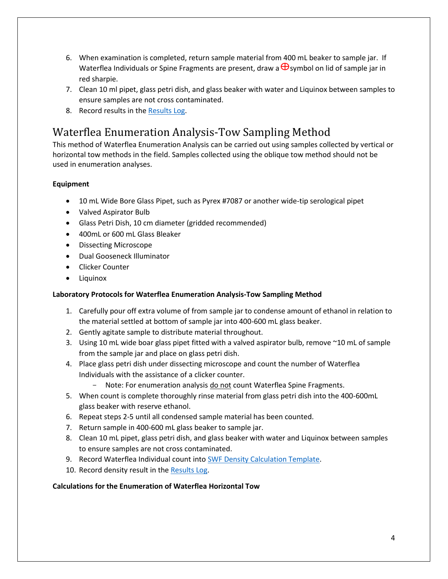- 6. When examination is completed, return sample material from 400 mL beaker to sample jar. If Waterflea Individuals or Spine Fragments are present, draw a  $\bigoplus$ symbol on lid of sample jar in red sharpie.
- 7. Clean 10 ml pipet, glass petri dish, and glass beaker with water and Liquinox between samples to ensure samples are not cross contaminated.
- 8. Record results in the [Results Log.](file://///central/water/WQWT_PROJECTS/WY_LRS/AIS/AIS%20Monitoring/Verification/Plankton%20tows-dredges/Laboratory%20SOP/Data%20Templates-Hyperlinked%20Materials/YEAR_ZM-SWF_ResultsLog_TEMPLATE.xlsx)

# Waterflea Enumeration Analysis-Tow Sampling Method

This method of Waterflea Enumeration Analysis can be carried out using samples collected by vertical or horizontal tow methods in the field. Samples collected using the oblique tow method should not be used in enumeration analyses.

### **Equipment**

- 10 mL Wide Bore Glass Pipet, such as Pyrex #7087 or another wide-tip serological pipet
- Valved Aspirator Bulb
- Glass Petri Dish, 10 cm diameter (gridded recommended)
- 400mL or 600 mL Glass Bleaker
- Dissecting Microscope
- Dual Gooseneck Illuminator
- Clicker Counter
- Liquinox

### **Laboratory Protocols for Waterflea Enumeration Analysis-Tow Sampling Method**

- 1. Carefully pour off extra volume of from sample jar to condense amount of ethanol in relation to the material settled at bottom of sample jar into 400-600 mL glass beaker.
- 2. Gently agitate sample to distribute material throughout.
- 3. Using 10 mL wide boar glass pipet fitted with a valved aspirator bulb, remove ~10 mL of sample from the sample jar and place on glass petri dish.
- 4. Place glass petri dish under dissecting microscope and count the number of Waterflea Individuals with the assistance of a clicker counter.
	- Note: For enumeration analysis do not count Waterflea Spine Fragments.
- 5. When count is complete thoroughly rinse material from glass petri dish into the 400-600mL glass beaker with reserve ethanol.
- 6. Repeat steps 2-5 until all condensed sample material has been counted.
- 7. Return sample in 400-600 mL glass beaker to sample jar.
- 8. Clean 10 mL pipet, glass petri dish, and glass beaker with water and Liquinox between samples to ensure samples are not cross contaminated.
- 9. Record Waterflea Individual count into [SWF Density Calculation Template.](file:///C:/Users/lalibg/AppData/Local/Microsoft/Windows/INetCache/Content.Outlook/GPD57NCJ/Data%20Templates-Hyperlinked%20Materials/YEAR_SWF_DensityCalculation_TEMPLATE.xlsx)
- 10. Record density result in the [Results Log.](file://///central/water/WQWT_PROJECTS/WY_LRS/AIS/AIS%20Monitoring/Verification/Plankton%20tows-dredges/Laboratory%20SOP/Data%20Templates-Hyperlinked%20Materials/YEAR_ZM-SWF_ResultsLog_TEMPLATE.xlsx)

### **Calculations for the Enumeration of Waterflea Horizontal Tow**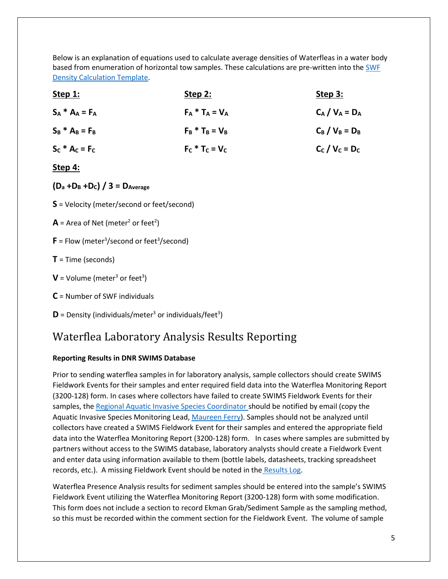Below is an explanation of equations used to calculate average densities of Waterfleas in a water body based from enumeration of horizontal tow samples. These calculations are pre-written into the SWF [Density Calculation Template.](file://///central/water/WQWT_PROJECTS/WY_LRS/AIS/AIS%20Monitoring/Verification/Plankton%20tows-dredges/Laboratory%20SOP/Data%20Templates-Hyperlinked%20Materials/YEAR_SWF_DensityCalculation_TEMPLATE.xlsx)

| Step 1:           | <b>Step 2:</b>    | <u>Step 3:</u>    |
|-------------------|-------------------|-------------------|
| $S_A * A_A = F_A$ | $F_A * T_A = V_A$ | $C_A / V_A = D_A$ |
| $S_B * A_B = F_B$ | $F_B * T_B = V_B$ | $C_B / V_B = D_B$ |
| $S_c * A_c = F_c$ | $F_c * T_c = V_c$ | $C_c / V_c = D_c$ |

### **Step 4:**

- **(D<sup>a</sup> +D<sup>B</sup> +DC) / 3 = DAverage**
- **S** = Velocity (meter/second or feet/second)
- $\mathsf{A}$  = Area of Net (meter<sup>2</sup> or feet<sup>2</sup>)
- **= Flow (meter<sup>3</sup>/second or feet<sup>3</sup>/second)**
- **T** = Time (seconds)
- **= Volume (meter<sup>3</sup> or feet<sup>3</sup>)**
- **C** = Number of SWF individuals
- $\mathbf{D}$  = Density (individuals/meter<sup>3</sup> or individuals/feet<sup>3</sup>)

# Waterflea Laboratory Analysis Results Reporting

### **Reporting Results in DNR SWIMS Database**

Prior to sending waterflea samples in for laboratory analysis, sample collectors should create SWIMS Fieldwork Events for their samples and enter required field data into the Waterflea Monitoring Report (3200-128) form. In cases where collectors have failed to create SWIMS Fieldwork Events for their samples, the [Regional Aquatic Invasive Species Coordinator](https://dnr.wi.gov/lakes/contacts/Contacts.aspx?role=AIS_RE_COORD) should be notified by email (copy the Aquatic Invasive Species Monitoring Lead, [Maureen Ferry\)](mailto:maureen.ferry@wisconsin.gov). Samples should not be analyzed until collectors have created a SWIMS Fieldwork Event for their samples and entered the appropriate field data into the Waterflea Monitoring Report (3200-128) form. In cases where samples are submitted by partners without access to the SWIMS database, laboratory analysts should create a Fieldwork Event and enter data using information available to them (bottle labels, datasheets, tracking spreadsheet records, etc.). A missing Fieldwork Event should be noted in the [Results Log.](file://///central/water/WQWT_PROJECTS/WY_LRS/AIS/AIS%20Monitoring/Verification/Plankton%20tows-dredges/Laboratory%20SOP/Data%20Templates-Hyperlinked%20Materials/YEAR_ZM-SWF_ResultsLog_TEMPLATE.xlsx)

Waterflea Presence Analysis results for sediment samples should be entered into the sample's SWIMS Fieldwork Event utilizing the Waterflea Monitoring Report (3200-128) form with some modification. This form does not include a section to record Ekman Grab/Sediment Sample as the sampling method, so this must be recorded within the comment section for the Fieldwork Event. The volume of sample